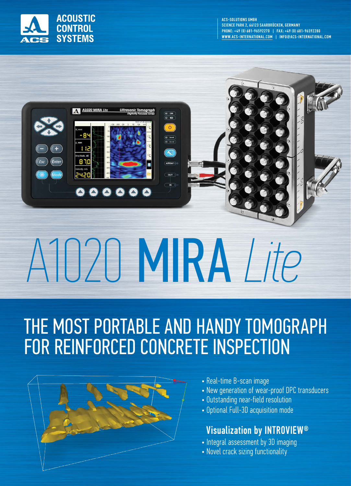

ACS-SOLUTIONS GMBH SCIENCE PARK 2, 66123 SAARBRÜCKEN, GERMANY PHONE: +49 (0) 681-96592270 | FAX: +49 (0) 681-96592280 WWW.ACS-INTERNATIONAL.COM | INFO@ACS-INTERNATIONAL.COM



# A1020 MIRA *Lite*

#### THE MOST PORTABLE AND HANDY TOMOGRAPH FOR REINFORCED CONCRETE INSPECTION



- Real-time B-scan image
- New generation of wear-proof DPC transducers
- Outstanding near-field resolution
- Optional Full-3D acquisition mode

#### Visualization by INTROVIEW®

- Integral assessment by 3D imaging
- Novel crack sizing functionality